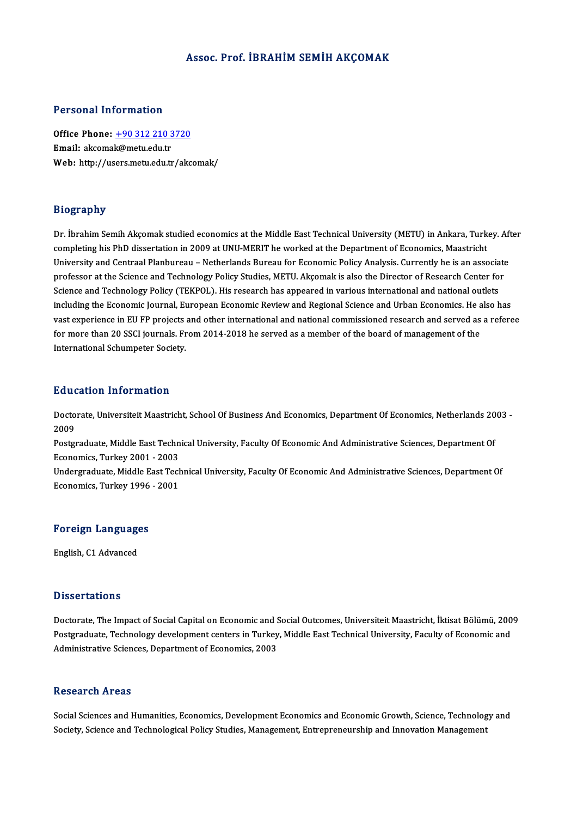### Assoc. Prof. İBRAHİM SEMİH AKÇOMAK

### Personal Information

Office Phone: +90 312 210 3720 Email: akcoma[k@metu.edu.tr](tel:+90 312 210 3720) Web: http://users.metu.edu.tr/akcomak/

## Biography

Dr. İbrahim Semih Akçomak studied economics at the Middle East Technical University (METU) in Ankara, Turkey. After exograpis<br>Dr. İbrahim Semih Akçomak studied economics at the Middle East Technical University (METU) in Ankara, Turk<br>University and Centreal Planbureau – Netherlands Bureau for Economic Boligy Anglysis Currently be is an a Dr. İbrahim Semih Akçomak studied economics at the Middle East Technical University (METU) in Ankara, Turkey. Af<br>Completing his PhD dissertation in 2009 at UNU-MERIT he worked at the Department of Economics, Maastricht<br>Uni completing his PhD dissertation in 2009 at UNU-MERIT he worked at the Department of Economics, Maastricht<br>University and Centraal Planbureau – Netherlands Bureau for Economic Policy Analysis. Currently he is an associate<br>p University and Centraal Planbureau – Netherlands Bureau for Economic Policy Analysis. Currently he is an associate<br>professor at the Science and Technology Policy Studies, METU. Akçomak is also the Director of Research Cent including the Economic Journal, European Economic Review and Regional Science and Urban Economics. He also has vast experience in EU FP projects and other international and national commissioned research and served as a referee including the Economic Journal, European Economic Review and Regional Science and Urban Economics. He a<br>vast experience in EU FP projects and other international and national commissioned research and served as<br>for more th vast experience in EU FP projects<br>for more than 20 SSCI journals. Fr<br>International Schumpeter Society. International Schumpeter Society.<br>Education Information

**Education Information**<br>Doctorate, Universiteit Maastricht, School Of Business And Economics, Department Of Economics, Netherlands 2003 -<br>2009 Data<br>Docto<br>2009<br>Poster Doctorate, Universiteit Maastricht, School Of Business And Economics, Department Of Economics, Netherlands 20<br>2009<br>Postgraduate, Middle East Technical University, Faculty Of Economic And Administrative Sciences, Department

2009<br>Postgraduate, Middle East Technical University, Faculty Of Economic And Administrative Sciences, Department Of<br>Economics, Turkey 2001 - 2003 Postgraduate, Middle East Technical University, Faculty Of Economic And Administrative Sciences, Department Of<br>Economics, Turkey 2001 - 2003<br>Undergraduate, Middle East Technical University, Faculty Of Economic And Administ

Economics, Turkey 2001 - 2003<br>Undergraduate, Middle East Tecl<br>Economics, Turkey 1996 - 2001

# economics, rurkey 1996<br>Foreign Languages F<mark>oreign Languag</mark>e<br>English, C1 Advanced

English, C1 Advanced<br>Dissertations

Dissertations<br>Doctorate, The Impact of Social Capital on Economic and Social Outcomes, Universiteit Maastricht, İktisat Bölümü, 2009<br>Postaraduata Technology develenment senters in Turkey, Middle Fest Technical University, D'isseer carre no<br>Doctorate, The Impact of Social Capital on Economic and Social Outcomes, Universiteit Maastricht, İktisat Bölümü, 200<br>Postgraduate, Technology development centers in Turkey, Middle East Technical Universi Doctorate, The Impact of Social Capital on Economic and S<br>Postgraduate, Technology development centers in Turkey<br>Administrative Sciences, Department of Economics, 2003 Administrative Sciences, Department of Economics, 2003<br>Research Areas

Research Areas<br>Social Sciences and Humanities, Economics, Development Economics and Economic Growth, Science, Technology and<br>Sociaty Science and Technological Policy Studies, Management, Entrepreneuvabin and Innovation Man steseur en III eas<br>Social Sciences and Humanities, Economics, Development Economics and Economic Growth, Science, Technolog<br>Society, Science and Technological Policy Studies, Management, Entrepreneurship and Innovation Man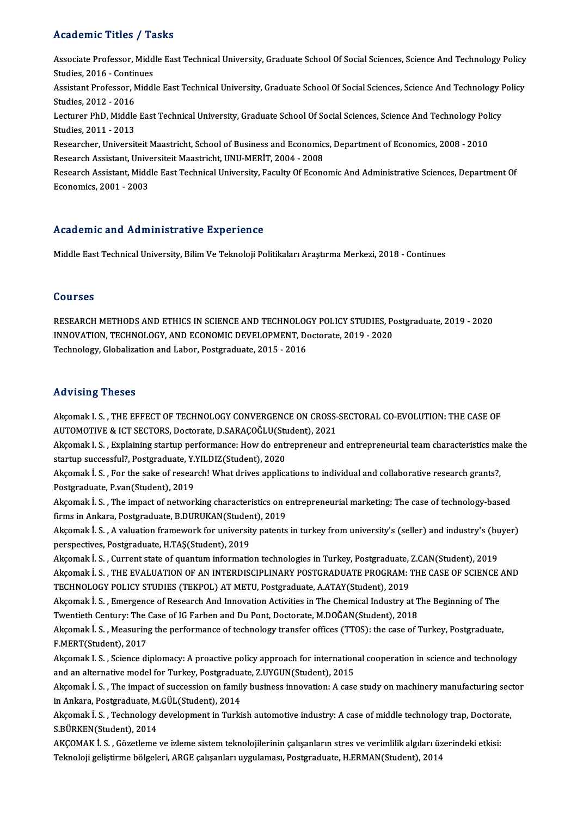# Academic Titles / Tasks

Academic Titles / Tasks<br>Associate Professor, Middle East Technical University, Graduate School Of Social Sciences, Science And Technology Policy<br>Studies 2016, Continues Associate Professor, Midd<br>Studies, 2016 - Continues<br>Assistant Professor, Middl Associate Professor, Middle East Technical University, Graduate School Of Social Sciences, Science And Technology Policy<br>Studies, 2016 - Continues<br>Assistant Professor, Middle East Technical University, Graduate School Of S Studies, 2016 - Contin<br>Assistant Professor, N<br>Studies, 2012 - 2016<br>Lecturer PhD, Middle Assistant Professor, Middle East Technical University, Graduate School Of Social Sciences, Science And Technology I<br>Studies, 2012 - 2016<br>Lecturer PhD, Middle East Technical University, Graduate School Of Social Sciences, S Studies, 2012 - 2016<br>Lecturer PhD, Middle<br>Studies, 2011 - 2013<br>Besearsber, Universit Lecturer PhD, Middle East Technical University, Graduate School Of Social Sciences, Science And Technology Pol<br>Studies, 2011 - 2013<br>Researcher, Universiteit Maastricht, School of Business and Economics, Department of Econo Studies, 2011 - 2013<br>Researcher, Universiteit Maastricht, School of Business and Economics, Department of Economics, 2008 - 2010<br>Research Assistant, Universiteit Maastricht, UNU-MERİT, 2004 - 2008 Researcher, Universiteit Maastricht, School of Business and Economics, Department of Economics, 2008 - 2010<br>Research Assistant, Universiteit Maastricht, UNU-MERİT, 2004 - 2008<br>Research Assistant, Middle East Technical Univ Research Assistant, Unive<br>Research Assistant, Midd<br>Economics, 2001 - 2003

Economics, 2001 - 2003<br>Academic and Administrative Experience

Middle East Technical University, Bilim Ve Teknoloji Politikaları Araştırma Merkezi, 2018 - Continues

## Courses

RESEARCH METHODS AND ETHICS IN SCIENCE AND TECHNOLOGY POLICY STUDIES, Postgraduate, 2019 - 2020 INNOVATION,TECHNOLOGY,ANDECONOMICDEVELOPMENT,Doctorate,2019 -2020 Technology, Globalization and Labor, Postgraduate, 2015 - 2016

## Advising Theses

Akçomak I.S., THE EFFECT OF TECHNOLOGY CONVERGENCE ON CROSS-SECTORAL CO-EVOLUTION: THE CASE OF -<br>Akçomak I. S. , THE EFFECT OF TECHNOLOGY CONVERGENCE ON CROSS-<br>AUTOMOTIVE & ICT SECTORS, Doctorate, D.SARAÇOĞLU(Student), 2021<br>Aksomak I. S., Evnlaining startun performanesu How de entrepreneur an Akçomak I. S. , THE EFFECT OF TECHNOLOGY CONVERGENCE ON CROSS-SECTORAL CO-EVOLUTION: THE CASE OF<br>AUTOMOTIVE & ICT SECTORS, Doctorate, D.SARAÇOĞLU(Student), 2021<br>Akçomak I. S. , Explaining startup performance: How do entrep

AUTOMOTIVE & ICT SECTORS, Doctorate, D.SARAÇOĞLU(Student).<br>Akçomak I. S. , Explaining startup performance: How do entit startup successful?, Postgraduate, Y.YILDIZ(Student), 2020<br>Aksomak İ. S. , For the saks of researsh! W Akçomak I. S. , Explaining startup performance: How do entrepreneur and entrepreneurial team characteristics ma<br>startup successful?, Postgraduate, Y.YILDIZ(Student), 2020<br>Akçomak İ. S. , For the sake of research! What driv

startup successful?, Postgraduate, Y.YILDIZ(Student), 2020<br>Akçomak İ. S. , For the sake of research! What drives applications to individual and collaborative research grants?,<br>Postgraduate, P.van(Student), 2019 Akçomak İ. S. , For the sake of research! What drives applications to individual and collaborative research grants?,<br>Postgraduate, P.van(Student), 2019<br>Akçomak İ. S. , The impact of networking characteristics on entreprene

Postgraduate, P.van(Student), 2019<br>Akçomak İ. S. , The impact of networking characteristics on e<br>firms in Ankara, Postgraduate, B.DURUKAN(Student), 2019<br>Aksomak İ. S. A valuation framousak for university natarts Akçomak İ. S. , The impact of networking characteristics on entrepreneurial marketing: The case of technology-based<br>firms in Ankara, Postgraduate, B.DURUKAN(Student), 2019<br>Akçomak İ. S. , A valuation framework for universi

firms in Ankara, Postgraduate, B.DURUKAN(Student), 2019<br>Akçomak İ. S. , A valuation framework for university patents in turkey from university's (seller) and industry's (buyer)<br>perspectives, Postgraduate, H.TAŞ(Student), 2

Akçomak İ. S. , Current state of quantum information technologies in Turkey, Postgraduate, Z.CAN(Student), 2019 perspectives, Postgraduate, H.TAŞ(Student), 2019<br>Akçomak İ. S. , Current state of quantum information technologies in Turkey, Postgraduate, Z.CAN(Student), 2019<br>Akçomak İ. S. , THE EVALUATION OF AN INTERDISCIPLINARY POSTGR Akçomak İ. S. , Current state of quantum information technologies in Turkey, Postgraduate, Akçomak İ. S. , THE EVALUATION OF AN INTERDISCIPLINARY POSTGRADUATE PROGRAM: TECHNOLOGY POLICY STUDIES (TEKPOL) AT METU, Postgradua Akçomak İ. S. , THE EVALUATION OF AN INTERDISCIPLINARY POSTGRADUATE PROGRAM: THE CASE OF SCIENCE .<br>TECHNOLOGY POLICY STUDIES (TEKPOL) AT METU, Postgraduate, A.ATAY(Student), 2019<br>Akçomak İ. S. , Emergence of Research And I

TECHNOLOGY POLICY STUDIES (TEKPOL) AT METU, Postgraduate, A.ATAY(Student), 2019<br>Akçomak İ. S. , Emergence of Research And Innovation Activities in The Chemical Industry at T<br>Twentieth Century: The Case of IG Farben and Du Akçomak İ. S. , Emergence of Research And Innovation Activities in The Chemical Industry at The Beginning of The<br>Twentieth Century: The Case of IG Farben and Du Pont, Doctorate, M.DOĞAN(Student), 2018<br>Akçomak İ. S. , Measu

Twentieth Century: The (<br>Akçomak İ. S. , Measuring<br>F.MERT(Student), 2017<br>Aksomak I. S. , Ssianse di Akçomak İ. S. , Measuring the performance of technology transfer offices (TTOS): the case of Turkey, Postgraduate,<br>F.MERT(Student), 2017<br>Akçomak I. S. , Science diplomacy: A proactive policy approach for international coop

F.MERT(Student), 2017<br>Akçomak I. S. , Science diplomacy: A proactive policy approach for international cooperation in science and technology<br>and an alternative model for Turkey, Postgraduate, Z.UYGUN(Student), 2015

Akçomak İ. S. , The impact of succession on family business innovation: A case study on machinery manufacturing sector and an alternative model for Turkey, Postgradua<br>Akçomak İ. S. , The impact of succession on famil<br>in Ankara, Postgraduate, M.GÜL(Student), 2014<br>Akçomak İ. S., Technology davalanment in Turki Akçomak İ. S. , The impact of succession on family business innovation: A case study on machinery manufacturing sec<br>in Ankara, Postgraduate, M.GÜL(Student), 2014<br>Akçomak İ. S. , Technology development in Turkish automotive

in Ankara, Postgraduate, M<br>Akçomak İ. S. , Technology<br>S.BÜRKEN(Student), 2014<br>AKCOMAK İ. S., Göretleme Akçomak İ. S. , Technology development in Turkish automotive industry: A case of middle technology trap, Doctora<br>S.BÜRKEN(Student), 2014<br>AKÇOMAK İ. S. , Gözetleme ve izleme sistem teknolojilerinin çalışanların stres ve ver

S.BÜRKEN(Student), 2014<br>AKÇOMAK İ. S. , Gözetleme ve izleme sistem teknolojilerinin çalışanların stres ve verimlilik algıları üzerindeki etkisi:<br>Teknoloji geliştirme bölgeleri, ARGE çalışanları uygulaması, Postgraduate, H.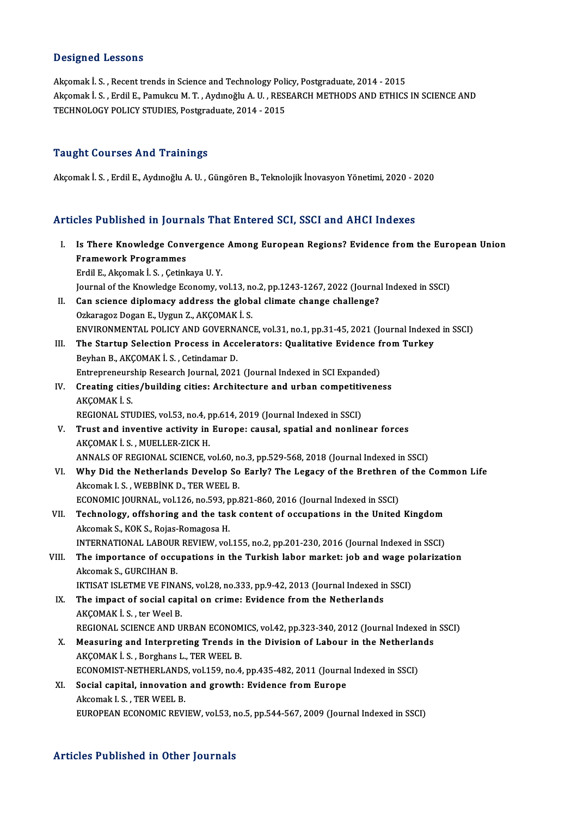## Designed Lessons

Akçomak İ. S., Recent trends in Science and Technology Policy, Postgraduate, 2014 - 2015 Akçomak İ. S., Erdil E., Pamukcu M. T., Aydınoğlu A. U., RESEARCH METHODS AND ETHICS IN SCIENCE AND TECHNOLOGY POLICY STUDIES, Postgraduate, 2014 - 2015

## Taught Courses And Trainings

Akçomakİ.S. ,ErdilE.,AydınoğluA.U. ,GüngörenB.,TeknolojikİnovasyonYönetimi,2020 -2020

# Articles Published in Journals That Entered SCI, SSCI and AHCI Indexes

- rticles Published in Journals That Entered SCI, SSCI and AHCI Indexes<br>I. Is There Knowledge Convergence Among European Regions? Evidence from the European Union Framework Programmes<br>Framework Programmes<br>Framework Programmes Is There Knowledge Convergence<br>Framework Programmes<br>Erdil E., Akçomak İ. S. , Çetinkaya U. Y.<br>Journal of the Knowledge Esenemy v Framework Programmes<br>Erdil E., Akçomak İ. S. , Çetinkaya U. Y.<br>Journal of the Knowledge Economy, vol.13, no.2, pp.1243-1267, 2022 (Journal Indexed in SSCI) Erdil E., Akçomak İ. S., Çetinkaya U. Y.<br>Journal of the Knowledge Economy, vol.13, no.2, pp.1243-1267, 2022 (Journa<br>II. Can science diplomacy address the global climate change challenge?<br>Orkansses Desen E. Uygun 7. AKCOMAK
- Journal of the Knowledge Economy, vol.13, no<br>Can science diplomacy address the glob<br>Ozkaragoz Dogan E., Uygun Z., AKÇOMAKİ.S.<br>ENVIRONMENTAL POLICY AND COVERNANC Ozkaragoz Dogan E., Uygun Z., AKÇOMAK İ. S.<br>ENVIRONMENTAL POLICY AND GOVERNANCE, vol.31, no.1, pp.31-45, 2021 (Journal Indexed in SSCI) Ozkaragoz Dogan E., Uygun Z., AKÇOMAK İ. S.<br>ENVIRONMENTAL POLICY AND GOVERNANCE, vol.31, no.1, pp.31-45, 2021 (Journal Indexernal Indexernal Indexernal Indexernal Indexernal Indexernal Indexernal Indexernal Indexernal Inde
- ENVIRONMENTAL POLICY AND GOVERNATHE Startup Selection Process in Acc<br>Beyhan B., AKÇOMAK İ. S. , Cetindamar D.<br>Entreppeneuvebin Bessarsk Journal 2021 The Startup Selection Process in Accelerators: Qualitative Evidence f<br>Beyhan B., AKÇOMAK İ. S. , Cetindamar D.<br>Entrepreneurship Research Journal, 2021 (Journal Indexed in SCI Expanded)<br>Creating sities (building sities) Ara Beyhan B., AKÇOMAK İ. S. , Cetindamar D.<br>Entrepreneurship Research Journal, 2021 (Journal Indexed in SCI Expanded)<br>IV. Creating cities/building cities: Architecture and urban competitiveness<br>AECOMAE İ. S.
- Entrepreneurs<br>Creating citie<br>AKÇOMAK İ. S.<br>PECIONAL STI Creating cities/building cities: Architecture and urban competitive<br>AKÇOMAK İ. S.<br>REGIONAL STUDIES, vol.53, no.4, pp.614, 2019 (Journal Indexed in SSCI)<br>Trust and inventive activity in Europe: causal, spatial and poplin
- AKÇOMAK İ. S.<br>REGIONAL STUDIES, vol.53, no.4, pp.614, 2019 (Journal Indexed in SSCI)<br>V. Trust and inventive activity in Europe: causal, spatial and nonlinear forces<br>AKCOMAK İ. S. MUELLER ZICK H REGIONAL STUDIES, vol.53, no.4, p<br>Trust and inventive activity in<br>AKÇOMAK İ. S. , MUELLER-ZICK H.<br>ANNALS OF RECIONAL SCIENCE y Trust and inventive activity in Europe: causal, spatial and nonlinear forces<br>AKÇOMAK İ. S. , MUELLER-ZICK H.<br>ANNALS OF REGIONAL SCIENCE, vol.60, no.3, pp.529-568, 2018 (Journal Indexed in SSCI)<br>Why Did the Netherlands Deve AKÇOMAK İ. S. , MUELLER-ZICK H.<br>ANNALS OF REGIONAL SCIENCE, vol.60, no.3, pp.529-568, 2018 (Journal Indexed in SSCI)<br>VI. Why Did the Netherlands Develop So Early? The Legacy of the Brethren of the Common Life<br>Algemek J. S.
- ANNALS OF REGIONAL SCIENCE, vol.60, n<br>Why Did the Netherlands Develop So<br>Akcomak I. S. , WEBBİNK D., TER WEEL B.<br>ECONOMIC JOURNAL, vol.126, no.593, nn.9 Why Did the Netherlands Develop So Early? The Legacy of the Brethren<br>Akcomak I.S., WEBBINK D., TER WEEL B.<br>ECONOMIC JOURNAL, vol.126, no.593, pp.821-860, 2016 (Journal Indexed in SSCI)<br>Technology, offshoring and the task s Akcomak I. S. , WEBBİNK D., TER WEEL B.<br>ECONOMIC JOURNAL, vol.126, no.593, pp.821-860, 2016 (Journal Indexed in SSCI)<br>VII. Technology, offshoring and the task content of occupations in the United Kingdom<br>Akcomak S., KOK S.
- ECONOMIC JOURNAL, vol.126, no.593, p<br>Technology, offshoring and the tas<br>Akcomak S., KOK S., Rojas-Romagosa H.<br>INTERNATIONAL LAROUR REVIEW, vol INTERNATIONAL LABOUR REVIEW, vol.155, no.2, pp.201-230, 2016 (Journal Indexed in SSCI) Akcomak S., KOK S., Rojas-Romagosa H.<br>INTERNATIONAL LABOUR REVIEW, vol.155, no.2, pp.201-230, 2016 (Journal Indexed in SSCI)<br>VIII. The importance of occupations in the Turkish labor market: job and wage polarization<br>Akcoma
- INTERNATIONAL LABOUR<br>The importance of occu<br>Akcomak S., GURCIHAN B.<br>IETIS AT ISLETME VE EIN ( The importance of occupations in the Turkish labor market: job and wage p<br>Akcomak S., GURCIHAN B.<br>IKTISAT ISLETME VE FINANS, vol.28, no.333, pp.9-42, 2013 (Journal Indexed in SSCI)<br>The impact of social capital on grime: Ev
- Akcomak S., GURCIHAN B.<br>IKTISAT ISLETME VE FINANS, vol.28, no.333, pp.9-42, 2013 (Journal Indexed in<br>IX. The impact of social capital on crime: Evidence from the Netherlands<br>AKCOMAK LS, ter Weel B **IKTISAT ISLETME VE FINAI<br>The impact of social cap<br>AKÇOMAK İ. S. , ter Weel B.<br>BECIONAL SCIENCE AND U** The impact of social capital on crime: Evidence from the Netherlands<br>AKÇOMAK İ. S. , ter Weel B.<br>REGIONAL SCIENCE AND URBAN ECONOMICS, vol.42, pp.323-340, 2012 (Journal Indexed in SSCI)<br>Measuring and Internrating Trands in
- AKÇOMAK İ. S., ter Weel B.<br>REGIONAL SCIENCE AND URBAN ECONOMICS, vol.42, pp.323-340, 2012 (Journal Indexed in<br>X. Measuring and Interpreting Trends in the Division of Labour in the Netherlands<br>AKCOMAK İ. S. Borghans L. TER REGIONAL SCIENCE AND URBAN ECONOM<br>Measuring and Interpreting Trends in<br>AKÇOMAK İ. S., Borghans L., TER WEEL B.<br>ECONOMIST NETHEBI ANDS vel 150 no 4 X. Measuring and Interpreting Trends in the Division of Labour in the Netherlands<br>AKÇOMAK İ.S., Borghans L., TER WEEL B.<br>ECONOMIST-NETHERLANDS, vol.159, no.4, pp.435-482, 2011 (Journal Indexed in SSCI)

AKÇOMAK İ. S. , Borghans L., TER WEEL B.<br>ECONOMIST-NETHERLANDS, vol.159, no.4, pp.435-482, 2011 (Journa<br>XI. Social capital, innovation and growth: Evidence from Europe<br>Aksomak J. S. TEP WEEL P. ECONOMIST-NETHERLANDS<br>Social capital, innovation<br>Akcomak I. S. , TER WEEL B.<br>FUROPEAN FCONOMIC PEVI Akcomak I. S. , TER WEEL B.<br>EUROPEAN ECONOMIC REVIEW, vol.53, no.5, pp.544-567, 2009 (Journal Indexed in SSCI)

### Articles Published in Other Journals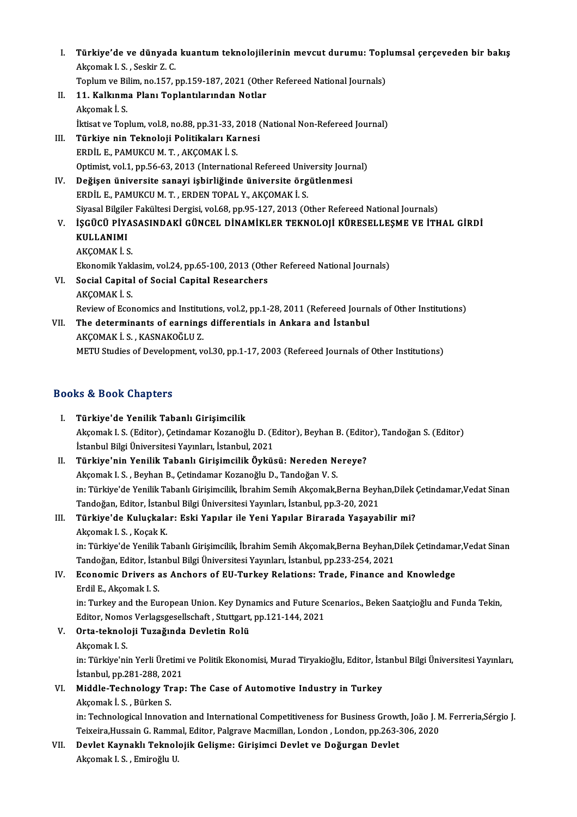I. Türkiye'de ve dünyada kuantum teknolojilerinin mevcut durumu: Toplumsal çerçeveden bir bakış<br>Akeemek L.S. Seekir 7.C. Türkiye'de ve dünyada<br>Akçomak I.S. , Seskir Z. C.<br>Tenlum ve Bilim ne 157 . Türkiye'de ve dünyada kuantum teknolojilerinin mevcut durumu: Topl<br>Akçomak I. S. , Seskir Z. C.<br>Toplum ve Bilim, no.157, pp.159-187, 2021 (Other Refereed National Journals)<br>11. Kallunma Blan: Toplantilarından Natlar.

Toplum ve Bilim, no.157, pp.159-187, 2021 (Other Refereed National Journals)

- Akçomak I. S. , Seskir Z. C.<br>Toplum ve Bilim, no.157, pp.159-187, 2021 (Othe<br>II. 11. Kalkınma Planı Toplantılarından Notlar<br>Akçomak İ. S. İktisat ve Toplum, vol.8, no.88, pp.31-33, 2018 (National Non-Refereed Journal) Akçomak İ. S.<br>İktisat ve Toplum, vol.8, no.88, pp.31-33, 2018 (<br>III. Türkiye nin Teknoloji Politikaları Karnesi<br>FRDJİLE RAMIKCUM T. AKÇOMAK İ. S
- İktisat ve Toplum, vol.8, no.88, pp.31-33, 2<br><mark>Türkiye nin Teknoloji Politikaları Ka</mark><br>ERDİL E., PAMUKCU M. T. , AKÇOMAK İ. S.<br>Ontimist vol.1, np.56,62, 2012 (Internatio ERDİL E., PAMUKCU M. T. , AKÇOMAK İ. S.<br>Optimist, vol.1, pp.56-63, 2013 (International Refereed University Journal) ERDİL E., PAMUKCU M. T. , AKÇOMAK İ. S.<br>Optimist, vol.1, pp.56-63, 2013 (International Refereed University Journal<br>IV. Değişen üniversite sanayi işbirliğinde üniversite örgütlenmesi<br>FRDNLE, RAMIKCU M. T. FRDEN TORAL V. AKÇ
- Optimist, vol.1, pp.56-63, 2013 (International Refereed Univ<br>Değişen üniversite sanayi işbirliğinde üniversite örg<br>ERDİL E., PAMUKCU M. T. , ERDEN TOPAL Y., AKÇOMAK İ. S.<br>Siyasel Bilgiler Felgiltesi Dergisi vel 68 np.95, 1 ERDİL E., PAMUKCU M. T. , ERDEN TOPAL Y., AKÇOMAK İ. S.<br>Siyasal Bilgiler Fakültesi Dergisi, vol.68, pp.95-127, 2013 (Other Refereed National Journals) ERDİL E., PAMUKCU M. T. , ERDEN TOPAL Y., AKÇOMAK İ. S.<br>Siyasal Bilgiler Fakültesi Dergisi, vol.68, pp.95-127, 2013 (Other Refereed National Journals)<br>V. İŞGÜCÜ PİYASASINDAKİ GÜNCEL DİNAMİKLER TEKNOLOJİ KÜRESELLEŞME VE
- Siyasal Bilgile<br>İŞGÜCÜ PİY*l*<br>KULLANIMI<br>A*VCOMAV* İ.S İŞGÜCÜ PİYA:<br>KULLANIMI<br>AKÇOMAK İ. S.<br>Ekonomik Yokl KULLANIMI<br>AKÇOMAK İ. S.<br>Ekonomik Yaklasim, vol.24, pp.65-100, 2013 (Other Refereed National Journals)<br>Segial Canital of Segial Canital Besearsbers

# AKÇOMAK İ. S.<br>Ekonomik Yaklasim, vol.24, pp.65-100, 2013 (Oth<br>VI. Social Capital of Social Capital Researchers<br>AKCOMAK İ. S. Ekonomik Yakl<br>Social Capital<br>AKÇOMAK İ. S.<br>Peview of Eser Social Capital of Social Capital Researchers<br>AKÇOMAK İ. S.<br>Review of Economics and Institutions, vol.2, pp.1-28, 2011 (Refereed Journals of Other Institutions)<br>The determinants of cannings differentials in Ankara and Istan

VII. The determinants of earnings differentials in Ankara and İstanbul AKCOMAK İ.S., KASNAKOĞLU Z. Review of Economics and Institute<br>The determinants of earning:<br>AKÇOMAK İ. S. , KASNAKOĞLU Z.<br>METU Studies of Develenment v METU Studies of Development, vol.30, pp.1-17, 2003 (Refereed Journals of Other Institutions)

# Books&Book Chapters

- I. Türkiye'de Yenilik Tabanlı Girişimcilik to & Book Ghapeers<br>Türkiye'de Yenilik Tabanlı Girişimcilik<br>Akçomak I. S. (Editor), Çetindamar Kozanoğlu D. (Editor), Beyhan B. (Editor), Tandoğan S. (Editor) Türkiye'de Yenilik Tabanlı Girişimcilik<br>Akçomak I. S. (Editor), Çetindamar Kozanoğlu D. (E<br>İstanbul Bilgi Üniversitesi Yayınları, İstanbul, 2021<br>Türkiye'nin Yenilik Tebenlı Girisimsilik Öyküs Akçomak I. S. (Editor), Çetindamar Kozanoğlu D. (Editor), Beyhan B. (Edito<br>İstanbul Bilgi Üniversitesi Yayınları, İstanbul, 2021<br>II. Türkiye'nin Yenilik Tabanlı Girişimcilik Öyküsü: Nereden Nereye?<br>Aksamak I. S. Bayban B.
- İstanbul Bilgi Üniversitesi Yayınları, İstanbul, 2021<br><mark>Türkiye'nin Yenilik Tabanlı Girişimcilik Öyküsü: Nereden N</mark><br>Akçomak I. S. , Beyhan B., Çetindamar Kozanoğlu D., Tandoğan V. S.<br>inı Türkiye'de Yenilik Tabanlı Girisimsi Türkiye'nin Yenilik Tabanlı Girişimcilik Öyküsü: Nereden Nereye?<br>Akçomak I. S. , Beyhan B., Çetindamar Kozanoğlu D., Tandoğan V. S.<br>in: Türkiye'de Yenilik Tabanlı Girişimcilik, İbrahim Semih Akçomak,Berna Beyhan,Dilek Çeti Akçomak I. S. , Beyhan B., Çetindamar Kozanoğlu D., Tandoğan V. S.<br>in: Türkiye'de Yenilik Tabanlı Girişimcilik, İbrahim Semih Akçomak,Berna Beyh<br>Türkiye'de Kuluskaları, Eski Yapılar ile Yapı Yapıları, İstanbul, pp.3-20, 20 in: Türkiye'de Yenilik Tabanlı Girişimcilik, İbrahim Semih Akçomak,Berna Beyhan,Dilek (Tandoğan, Editor, İstanbul Bilgi Üniversitesi Yayınları, İstanbul, pp.3-20, 2021<br>III. Türkiye'de Kuluçkalar: Eski Yapılar ile Yeni Yapı

# Tandoğan, Editor, İstanl<br><mark>Türkiye'de Kuluçkala</mark><br>Akçomak I. S. , Koçak K.<br>in: Türkiye'de Yanilik Ta

Türkiye'de Kuluçkalar: Eski Yapılar ile Yeni Yapılar Birarada Yaşayabilir mi?<br>Akçomak I. S. , Koçak K.<br>in: Türkiye'de Yenilik Tabanlı Girişimcilik, İbrahim Semih Akçomak,Berna Beyhan,Dilek Çetindamar,Vedat Sinan<br>Tandağan E Akçomak I. S. , Koçak K.<br>in: Türkiye'de Yenilik Tabanlı Girişimcilik, İbrahim Semih Akçomak,Berna Beyhan,I<br>Tandoğan, Editor, İstanbul Bilgi Üniversitesi Yayınları, İstanbul, pp.233-254, 2021<br>Feonomis Drivers as Anshors of in: Türkiye'de Yenilik Tabanlı Girişimcilik, İbrahim Semih Akçomak,Berna Beyhan,Dilek Çetindama<br>Tandoğan, Editor, İstanbul Bilgi Üniversitesi Yayınları, İstanbul, pp.233-254, 2021<br>IV. Economic Drivers as Anchors of EU-Turk

# Tandoğan, Editor, İstanbul Bilgi Üniversitesi Yayınları, İstanbul, pp.233-254, 2021<br>IV. Economic Drivers as Anchors of EU-Turkey Relations: Trade, Finance and Knowledge<br>Erdil E., Akçomak I. S. Economic Drivers as Anchors of EU-Turkey Relations: Trade, Finance and Knowledge<br>Erdil E., Akçomak I. S.<br>in: Turkey and the European Union. Key Dynamics and Future Scenarios., Beken Saatçioğlu and Funda Tekin,<br>Editor, Nome

Erdil E., Akçomak I. S.<br>in: Turkey and the European Union. Key Dynamics and Future S.<br>Editor, Nomos Verlagsgesellschaft , Stuttgart, pp.121-144, 2021<br>Orta teknoloji Tugažunda Devletin Bolü Editor, Nomos Verlagsgesellschaft, Stuttgart, pp.121-144, 2021

V. Orta-teknoloji Tuzağında Devletin Rolü

Orta-teknoloji Tuzağında Devletin Rolü<br>Akçomak I. S.<br>in: Türkiye'nin Yerli Üretimi ve Politik Ekonomisi, Murad Tiryakioğlu, Editor, İstanbul Bilgi Üniversitesi Yayınları, Akçomak I. S.<br>in: Türkiye'nin Yerli Üretimi<br>İstanbul, pp.281-288, 2021<br>Middle Technologu Tran İstanbul, pp. 281-288, 2021

# VI. Middle-Technology Trap: The Case of Automotive Industry in Turkey Akcomak İ.S., Bürken S.

in: Technological Innovation and International Competitiveness for Business Growth, João J. M. Ferreria,Sérgio J. Akçomak İ. S. , Bürken S.<br>in: Technological Innovation and International Competitiveness for Business Growth, João J. M<br>Teixeira,Hussain G. Rammal, Editor, Palgrave Macmillan, London , London, pp.263-306, 2020<br>Povlet Kayna in: Technological Innovation and International Competitiveness for Business Growt<br>Teixeira,Hussain G. Rammal, Editor, Palgrave Macmillan, London, London, pp.263-3<br>VII. Devlet Kaynaklı Teknolojik Gelişme: Girişimci Devlet v

# Teixeira,Hussain G. Ramm:<br>De<mark>vlet Kaynaklı Teknol</mark><br>Akçomak I. S. , Emiroğlu U.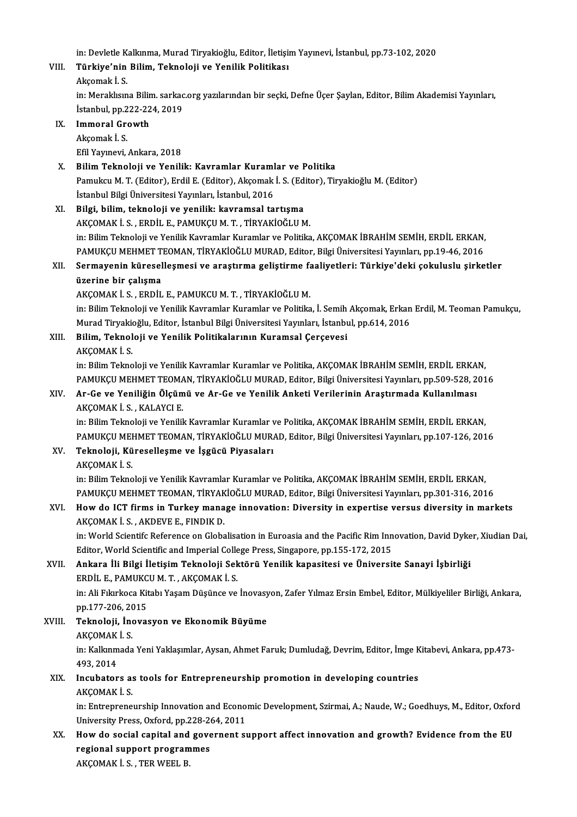in: Devletle Kalkınma, Murad Tiryakioğlu, Editor, İletişim Yayınevi, İstanbul, pp.73-102, 2020<br>Türkiye'nin Bilim, Teknoloji ve Yonilik Bolitikası in: Devletle K<br><mark>Türkiye'nin</mark><br>Akçomak İ. S.<br>in: Morakkan

# VIII. Türkiye'nin Bilim, Teknoloji ve Yenilik Politikası<br>Akcomak İ. S.

Türkiye'nin Bilim, Teknoloji ve Yenilik Politikası<br>Akçomak İ. S.<br>in: Meraklısına Bilim. sarkac.org yazılarından bir seçki, Defne Üçer Şaylan, Editor, Bilim Akademisi Yayınları, Akçomak İ. S.<br>in: Meraklısına Bilim. sarkac<br>İstanbul, pp.222-224, 2019<br>Immoral Croutth İstanbul, pp.222-224, 2019

# IX. Immoral Growth<br>Akçomak İ. S.

EfilYayınevi,Ankara,2018

# X. BilimTeknoloji ve Yenilik: Kavramlar Kuramlar ve Politika Efil Yayınevi, Ankara, 2018<br>Bilim Teknoloji ve Yenilik: Kavramlar Kuramlar ve Politika<br>Pamukcu M. T. (Editor), Erdil E. (Editor), Akçomak İ. S. (Editor), Tiryakioğlu M. (Editor)<br>İstanbul Bilgi Üniyarsitesi Yayınları, İstan Bilim Teknoloji ve Yenilik: Kavramlar Kuraml<br>Pamukcu M. T. (Editor), Erdil E. (Editor), Akçomak<br>İstanbul Bilgi Üniversitesi Yayınları, İstanbul, 2016<br>Bilgi, bilim, teknoloji ve yenilik: keyremsal ta Pamukcu M. T. (Editor), Erdil E. (Editor), Akçomak İ. S. (Editor)<br>İstanbul Bilgi Üniversitesi Yayınları, İstanbul, 2016<br>XI. Bilgi, bilim, teknoloji ve yenilik: kavramsal tartışma<br>AKÇOMAK İ. S. ERDİL E. BAMIKÇILM T. TİRYAKİ

İstanbul Bilgi Üniversitesi Yayınları, İstanbul, 2016<br>XI. Bilgi, bilim, teknoloji ve yenilik: kavramsal tartışma<br>AKÇOMAK İ.S. , ERDİL E., PAMUKÇU M. T. , TİRYAKİOĞLU M. Bilgi, bilim, teknoloji ve yenilik: kavramsal tartışma<br>AKÇOMAK İ. S. , ERDİL E., PAMUKÇU M. T. , TİRYAKİOĞLU M.<br>in: Bilim Teknoloji ve Yenilik Kavramlar Kuramlar ve Politika, AKÇOMAK İBRAHİM SEMİH, ERDİL ERKAN,<br>RAMUKÇU MEH AKÇOMAK İ. S. , ERDİL E., PAMUKÇU M. T. , TİRYAKİOĞLU M.<br>in: Bilim Teknoloji ve Yenilik Kavramlar Kuramlar ve Politika, AKÇOMAK İBRAHİM SEMİH, ERDİL ERKAN,<br>PAMUKÇU MEHMET TEOMAN, TİRYAKİOĞLU MURAD, Editor, Bilgi Üniversite in: Bilim Teknoloji ve Yenilik Kavramlar Kuramlar ve Politika, AKÇOMAK İBRAHİM SEMİH, ERDİL ERKAN,<br>PAMUKÇU MEHMET TEOMAN, TİRYAKİOĞLU MURAD, Editor, Bilgi Üniversitesi Yayınları, pp.19-46, 2016<br>XII. Sermayenin küreselleşme

# PAMUKÇU MEHMET TEOMAN, TİRYAKİOĞLU MURAD, Editor, Bilgi Üniversitesi Yayınları, pp.19-46, 2016<br>Sermayenin küreselleşmesi ve araştırma geliştirme faaliyetleri: Türkiye'deki çokuluslu şirke<br>üzerine bir çalışma<br>AKCOMAK İ. S. Sermayenin küreselleşmesi ve araştırma geliştirme fa<br>üzerine bir çalışma<br>AKÇOMAK İ. S. , ERDİL E., PAMUKCU M. T. , TİRYAKİOĞLU M.<br>in: Bilim Telmeleji ve Yenilik Kayramlar Kuramlar ve Pelitika

üzerine bir çalışma<br>AKÇOMAK İ. S. , ERDİL E., PAMUKCU M. T. , TİRYAKİOĞLU M.<br>İn: Bilim Teknoloji ve Yenilik Kavramlar Kuramlar ve Politika, İ. Semih Akçomak, Erkan Erdil, M. Teoman Pamukçu,<br>Murad Tirvaltioğlu, Editon İstan AKÇOMAK İ. S. , ERDİL E., PAMUKCU M. T. , TİRYAKİOĞLU M.<br>in: Bilim Teknoloji ve Yenilik Kavramlar Kuramlar ve Politika, İ. Semih Akçomak, Erkan<br>Murad Tiryakioğlu, Editor, İstanbul Bilgi Üniversitesi Yayınları, İstanbul, pp in: Bilim Teknoloji ve Yenilik Kavramlar Kuramlar ve Politika, İ. Semih<br>Murad Tiryakioğlu, Editor, İstanbul Bilgi Üniversitesi Yayınları, İstanbu<br>XIII. Bilim, Teknoloji ve Yenilik Politikalarının Kuramsal Çerçevesi<br>AKCOMAK Murad Tiryakioğlu, Editor, İstanbul Bilgi Üniversitesi Yayınları, İstanbul, pp.614, 2016<br>Bilim, Teknoloji ve Yenilik Politikalarının Kuramsal Çerçevesi<br>AKÇOMAK İ. S.

Bilim, Teknoloji ve Yenilik Politikalarının Kuramsal Çerçevesi<br>AKÇOMAK İ. S.<br>in: Bilim Teknoloji ve Yenilik Kavramlar Kuramlar ve Politika, AKÇOMAK İBRAHİM SEMİH, ERDİL ERKAN,<br>RAMIKÇU MEHMET TEOMAN, TİRVAKİQĞU U MURAD, Edi AKÇOMAK İ. S.<br>in: Bilim Teknoloji ve Yenilik Kavramlar Kuramlar ve Politika, AKÇOMAK İBRAHİM SEMİH, ERDİL ERKAN,<br>PAMUKÇU MEHMET TEOMAN, TİRYAKİOĞLU MURAD, Editor, Bilgi Üniversitesi Yayınları, pp.509-528, 2016<br>Ar Ge ve Yap in: Bilim Teknoloji ve Yenilik Kavramlar Kuramlar ve Politika, AKÇOMAK İBRAHİM SEMİH, ERDİL ERKA<br>PAMUKÇU MEHMET TEOMAN, TİRYAKİOĞLU MURAD, Editor, Bilgi Üniversitesi Yayınları, pp.509-528, 2<br>XIV. Ar-Ge ve Yeniliğin Ölç

# PAMUKÇU MEHMET TEOMA<br><mark>Ar-Ge ve Yeniliğin Ölçüm</mark><br>AKÇOMAK İ. S. , KALAYCI E.<br>in: Bilim Telmeleji ve Yenilil XIV. Ar-Ge ve Yeniliğin Ölçümü ve Ar-Ge ve Yenilik Anketi Verilerinin Araştırmada Kullanılması<br>AKÇOMAK İ. S. , KALAYCI E.<br>in: Bilim Teknoloji ve Yenilik Kavramlar Kuramlar ve Politika, AKÇOMAK İBRAHİM SEMİH, ERDİL ERKAN,

PAMUKÇU MEHMET TEOMAN, TİRYAKİOĞLU MURAD, Editor, Bilgi Üniversitesi Yayınları, pp.107-126, 2016 in: Bilim Teknoloji ve Yenilik Kavramlar Kuramlar ve PAMUKÇU MEHMET TEOMAN, TİRYAKİOĞLU MURJ<br>XV. Teknoloji, Küreselleşme ve İşgücü Piyasaları<br>AV.COMAV İ.S

PAMUKÇU MEI<br><mark>Teknoloji, Kü</mark><br>AKÇOMAK İ. S.<br>in: Bilim Telme AKÇOMAK İ. S.<br>in: Bilim Teknoloji ve Yenilik Kavramlar Kuramlar ve Politika, AKÇOMAK İBRAHİM SEMİH, ERDİL ERKAN, AKÇOMAK İ. S.<br>in: Bilim Teknoloji ve Yenilik Kavramlar Kuramlar ve Politika, AKÇOMAK İBRAHİM SEMİH, ERDİL ERKAN,<br>PAMUKÇU MEHMET TEOMAN, TİRYAKİOĞLU MURAD, Editor, Bilgi Üniversitesi Yayınları, pp.301-316, 2016<br>Hour de JCT

# XVI. How do ICT firms in Turkey manage innovation: Diversity in expertise versus diversity in markets<br>AKCOMAK I. S., AKDEVE E., FINDIK D. PAMUKÇU MEHMET TEOMAN, TİRYAK<br>How do ICT firms in Turkey mana<br>AKÇOMAK İ. S. , AKDEVE E., FINDIK D.<br>in: World Scientife Beference en Glaba How do ICT firms in Turkey manage innovation: Diversity in expertise versus diversity in markets<br>AKÇOMAK İ. S. , AKDEVE E., FINDIK D.<br>in: World Scientifc Reference on Globalisation in Euroasia and the Pacific Rim Innovatio

AKÇOMAK İ. S. , AKDEVE E., FINDIK D.<br>in: World Scientifc Reference on Globalisation in Euroasia and the Pacific Rim Inn<br>Editor, World Scientific and Imperial College Press, Singapore, pp.155-172, 2015<br>Ankapa İli Bilgi İlet in: World Scientifc Reference on Globalisation in Euroasia and the Pacific Rim Innovation, David Dyke<br>Editor, World Scientific and Imperial College Press, Singapore, pp.155-172, 2015<br>XVII. Ankara İli Bilgi İletişim Teknolo

# Editor, World Scientific and Imperial Colle<br><mark>Ankara İli Bilgi İletişim Teknoloji Se</mark>k<br>ERDİL E., PAMUKCU M. T. , AKÇOMAK İ. S.<br>in: Ali Erlarkoca Kitabı Yasam Düşünce ve XVII. Ankara İli Bilgi İletişim Teknoloji Sektörü Yenilik kapasitesi ve Üniversite Sanayi İşbirliği<br>ERDİL E., PAMUKCU M. T. , AKÇOMAK İ. S.<br>in: Ali Fıkırkoca Kitabı Yaşam Düşünce ve İnovasyon, Zafer Yılmaz Ersin Embel, Edi

ERDİL E., PAMUKC<br>in: Ali Fıkırkoca Kit<br>pp.177-206, 2015<br>Teknoloji, İnquas in: Ali Fıkırkoca Kitabı Yaşam Düşünce ve İnovasy<br>pp.177-206, 2015<br>XVIII. Teknoloji, İnovasyon ve Ekonomik Büyüme<br>AKCOMAK İ. S

# pp.177-206, 20<br><mark>Teknoloji, İnc</mark><br>AKÇOMAK İ. S.<br>in: Kallunmada

Teknoloji, İnovasyon ve Ekonomik Büyüme<br>AKÇOMAK İ. S.<br>in: Kalkınmada Yeni Yaklaşımlar, Aysan, Ahmet Faruk; Dumludağ, Devrim, Editor, İmge Kitabevi, Ankara, pp.473-AKÇOMAK<br>in: Kalkınm<br>493, 2014<br>Insubatar in: Kalkınmada Yeni Yaklaşımlar, Aysan, Ahmet Faruk; Dumludağ, Devrim, Editor, İmge K<br>493, 2014<br>XIX. Incubators as tools for Entrepreneurship promotion in developing countries<br>AKCOMAK İS

# 493, 2014<br>Incubators a:<br>AKÇOMAK İ. S.<br>in: Entronrono

Incubators as tools for Entrepreneurship promotion in developing countries<br>AKÇOMAK İ. S.<br>in: Entrepreneurship Innovation and Economic Development, Szirmai, A.; Naude, W.; Goedhuys, M., Editor, Oxford<br>University Press, Oxfo AKÇOMAK İ. S.<br>in: Entrepreneurship Innovation and Econo<br>University Press, Oxford, pp.228-264, 2011<br>How de escial sanital and governent su in: Entrepreneurship Innovation and Economic Development, Szirmai, A.; Naude, W.; Goedhuys, M., Editor, Oxfor<br>University Press, Oxford, pp.228-264, 2011<br>XX. How do social capital and governent support affect innovation and

# University Press, Oxford, pp.228-264, 2011<br>How do social capital and governent s<br>regional support programmes<br>AKCOMAK İ. S. , TER WEEL B. How do social capital and governent support affect innovation and growth? Evidence from the EU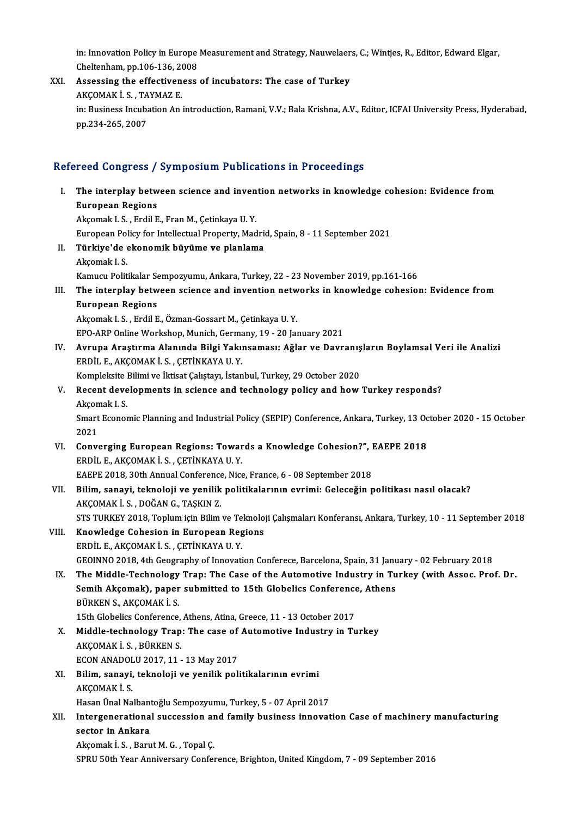in: Innovation Policy in Europe Measurement and Strategy, Nauwelaers, C.; Wintjes, R., Editor, Edward Elgar,<br>Cheltenham, nn 106,126, 2009 in: Innovation Policy in Europe<br>Cheltenham, pp.106-136, 2008<br>Assossing the offestiveness

XXI. Assessing the effectiveness of incubators: The case of Turkey Cheltenham, pp.106-136, 20<br>Assessing the effectiven<br>AKÇOMAK İ. S. , TAYMAZ E.<br>in: Business Insubation An in: Business Incubation An introduction, Ramani, V.V.; Bala Krishna, A.V., Editor, ICFAI University Press, Hyderabad,<br>pp.234-265, 2007 AKÇOMAK İ. S. , TA<br>in: Business Incuba<br>pp.234-265, 2007

# Refereed Congress / Symposium Publications in Proceedings

efereed Congress / Symposium Publications in Proceedings<br>I. The interplay between science and invention networks in knowledge cohesion: Evidence from<br>European Begions The interplay between<br>European Regions<br>Aksomak L.S. Endil E AkçomakI.S. ,ErdilE.,FranM.,ÇetinkayaU.Y. European Regions<br>Akçomak I. S. , Erdil E., Fran M., Çetinkaya U. Y.<br>European Policy for Intellectual Property, Madrid, Spain, 8 - 11 September 2021<br>Türkiye'de ekenemik büyüme ve planlame. II. Türkiye'de ekonomik büyüme ve planlama<br>Akcomak I. S. European Pol<br><mark>Türkiye'de</mark><br>Akçomak I. S.<br>Kamuan Polit Kamucu Politikalar Sempozyumu, Ankara, Turkey, 22 - 23 November 2019, pp.161-166 Akçomak I. S.<br>Kamucu Politikalar Sempozyumu, Ankara, Turkey, 22 - 23 November 2019, pp.161-166<br>III. The interplay between science and invention networks in knowledge cohesion: Evidence from<br>European Begions Kamucu Politikalar Se<br>The interplay betw<br>European Regions<br>Aksomak L.S., Endil E The interplay between science and invention netw<br>European Regions<br>Akçomak I.S., Erdil E., Özman-Gossart M., Çetinkaya U.Y.<br>EPO APP Online Werkshan Munish Germany, 19, 20 Jan European Regions<br>Akçomak I. S. , Erdil E., Özman-Gossart M., Çetinkaya U. Y.<br>EPO-ARP Online Workshop, Munich, Germany, 19 - 20 January 2021 Akçomak I. S. , Erdil E., Özman-Gossart M., Çetinkaya U. Y.<br>IV. EPO-ARP Online Workshop, Munich, Germany, 19 - 20 January 2021<br>IV. Avrupa Araştırma Alanında Bilgi Yakınsaması: Ağlar ve Davranışların Boylamsal Veri EPO-ARP Online Workshop, Munich, Germa<br>Avrupa Araştırma Alanında Bilgi Yakı<br>ERDİL E., AKÇOMAK İ. S. , ÇETİNKAYA U. Y.<br>Kompleksite Bilimi ve İltisat Calıstavı, İstan Avrupa Araştırma Alanında Bilgi Yakınsaması: Ağlar ve Davranış<br>ERDİL E., AKÇOMAK İ. S. , ÇETİNKAYA U. Y.<br>Kompleksite Bilimi ve İktisat Çalıştayı, İstanbul, Turkey, 29 October 2020<br>Bosant davalanmanta in şajansa and tashnal ERDİL E., AKÇOMAK İ. S. , ÇETİNKAYA U. Y.<br>Kompleksite Bilimi ve İktisat Çalıştayı, İstanbul, Turkey, 29 October 2020<br>V. Recent developments in science and technology policy and how Turkey responds?<br>Akçomak I. S. Kompleksite Bilimi ve İktisat Çalıştayı, İstanbul, Turkey, 29 October 2020 Recent developments in science and technology policy and how Turkey responds?<br>Akçomak I. S.<br>Smart Economic Planning and Industrial Policy (SEPIP) Conference, Ankara, Turkey, 13 October 2020 - 15 October<br>2021 Akçon<br>Smart<br>2021<br>Conv Smart Economic Planning and Industrial Policy (SEPIP) Conference, Ankara, Turkey, 13 Oc<br>2021<br>VI. Converging European Regions: Towards a Knowledge Cohesion?", EAEPE 2018 2021<br>Converging European Regions: Towar<br>ERDİL E., AKÇOMAK İ. S. , ÇETİNKAYA U. Y. VI. Converging European Regions: Towards a Knowledge Cohesion?", EAEPE 2018 VII. Bilim, sanayi, teknoloji ve yenilik politikalarının evrimi: Geleceğin politikası nasıl olacak?<br>AKÇOMAK İ. S., DOĞAN G., TAŞKIN Z. EAEPE 2018, 30th Annual Conference, Nice, France, 6 - 08 September 2018 STSTURKEY2018,ToplumiçinBilimveTeknolojiÇalışmalarıKonferansı,Ankara,Turkey,10 -11 September 2018 VIII. Knowledge Cohesion in European Regions ERDİL E.,AKÇOMAKİ.S. ,ÇETİNKAYAU.Y. GEOINNO2018,4thGeography of InnovationConferece,Barcelona,Spain,31 January -02 February2018 IX. The Middle-Technology Trap: The Case of the Automotive Industry in Turkey (with Assoc. Prof. Dr. GEOINNO 2018, 4th Geography of Innovation Conferece, Barcelona, Spain, 31 Janu<br>The Middle-Technology Trap: The Case of the Automotive Industry in Tu<br>Semih Akçomak), paper submitted to 15th Globelics Conference, Athens<br>PÜRK The Middle-Technology<br>Semih Akçomak), paper<br>BÜRKEN S., AKÇOMAKİ.S.<br>15th Clabeliss Conference Semih Akçomak), paper submitted to 15th Globelics Conference<br>BÜRKEN S., AKÇOMAK İ. S.<br>15th Globelics Conference, Athens, Atina, Greece, 11 - 13 October 2017<br>Middle technology Tran; The sase of Automative Industry in Tu BÜRKEN S., AKÇOMAK İ. S.<br>15th Globelics Conference, Athens, Atina, Greece, 11 - 13 October 2017<br>X. Middle-technology Trap: The case of Automotive Industry in Turkey<br>AKCOMAK İ. S. BÜRKEN S. 15th Globelics Conference, Athens, Atina, Greece, 11 - 13 October 2017<br>Middle-technology Trap: The case of Automotive Industry in T<br>AKÇOMAK İ.S., BÜRKEN S.<br>ECON ANADOLU 2017, 11 - 13 May 2017 Middle-technology Trap: The case of<br>AKÇOMAK İ. S. , BÜRKEN S.<br>ECON ANADOLU 2017, 11 - 13 May 2017<br>Bilim, sanavi, teknoloji ve yenilik noli AKÇOMAK İ. S. , BÜRKEN S.<br>ECON ANADOLU 2017, 11 - 13 May 2017<br>XI. Bilim, sanayi, teknoloji ve yenilik politikalarının evrimi<br>AKÇOMAK İ. S. ECON ANADOL<br>Bilim, sanayi,<br>AKÇOMAK İ. S.<br>Hesen Ünal Na Bilim, sanayi, teknoloji ve yenilik politikalarının evrimi<br>AKÇOMAK İ. S.<br>Hasan Ünal Nalbantoğlu Sempozyumu, Turkey, 5 - 07 April 2017<br>Interseperational sussession and family business inneyat AKÇOMAK İ. S.<br>Hasan Ünal Nalbantoğlu Sempozyumu, Turkey, 5 - 07 April 2017<br>XII. Intergenerational succession and family business innovation Case of machinery manufacturing<br>2005an in Ankana Hasan Ünal Nalbantoğlu Sempozyumu, Turkey, 5 - 07 April 2017<br>Intergenerational succession and family business innova<br>sector in Ankara<br>Akçomak İ. S. , Barut M. G. , Topal Ç. Intergenerational succession ar<br>sector in Ankara<br>Akçomak İ. S. , Barut M. G. , Topal Ç.<br>SPRU 50th Year Anniversery Confor SPRU 50th Year Anniversary Conference, Brighton, United Kingdom, 7 - 09 September 2016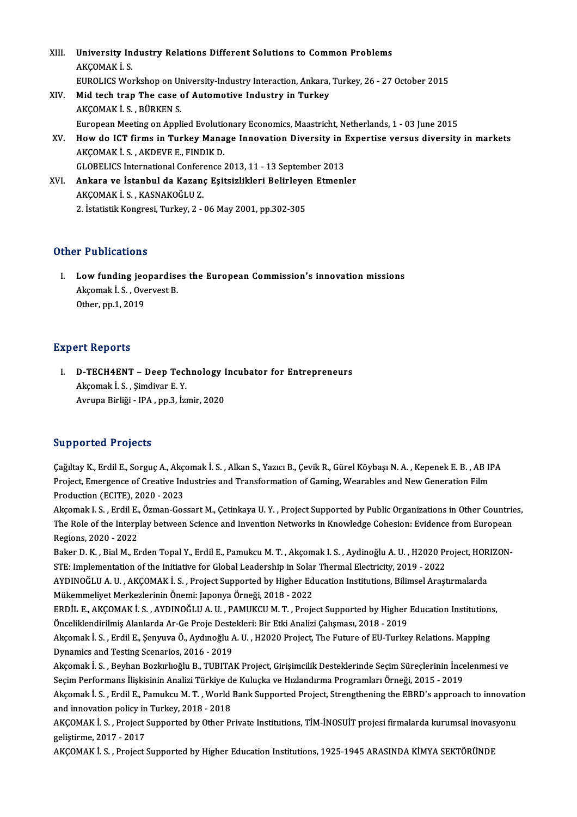| XIII. | University Industry Relations Different Solutions to Common Problems                            |
|-------|-------------------------------------------------------------------------------------------------|
|       | AKÇOMAK İS                                                                                      |
|       | EUROLICS Workshop on University-Industry Interaction, Ankara, Turkey, 26 - 27 October 2015      |
| XIV.  | Mid tech trap The case of Automotive Industry in Turkey                                         |
|       | AKÇOMAK İS, BÜRKENS                                                                             |
|       | European Meeting on Applied Evolutionary Economics, Maastricht, Netherlands, 1 - 03 June 2015   |
| XV.   | How do ICT firms in Turkey Manage Innovation Diversity in Expertise versus diversity in markets |
|       | AKÇOMAK İ. S., AKDEVE E., FINDIK D.                                                             |
|       | GLOBELICS International Conference 2013, 11 - 13 September 2013                                 |
| XVI.  | Ankara ve İstanbul da Kazanç Eşitsizlikleri Belirleyen Etmenler                                 |
|       | AKÇOMAK İS, KASNAKOĞLUZ                                                                         |
|       | 2. İstatistik Kongresi, Turkey, 2 - 06 May 2001, pp 302-305                                     |

# Other Publications

ther Publications<br>I. Low funding jeopardises the European Commission's innovation missions<br>Aksomak LS. Quaryest B 1 1 d'orrederens<br>Low funding jeopardise<br>Akçomak İ. S. , Overvest B.<br>Other nn 1 2010 Low funding jeo<br>Akçomak İ. S. , Ove<br>Other, pp.1, 2019 0ther, pp.1, 2019<br>Expert Reports

Xpert Reports<br>I. D-TECH4ENT – Deep Technology Incubator for Entrepreneurs<br>Akeemek L.S. Simdiver E.V. Aktor Kopores<br>D-TECH4ENT – Deep Tecl<br>Akçomak İ. S. , Şimdivar E. Y.<br>Ayruna Birliği - IBA - pp 3. İst D-TECH4ENT – Deep Technology I<br>Akçomak İ. S. , Şimdivar E. Y.<br>Avrupa Birliği - IPA , pp.3, İzmir, 2020 Avrupa Birliği - IPA , pp.3, İzmir, 2020<br>Supported Projects

Supported Projects<br>Çağıltay K., Erdil E., Sorguç A., Akçomak İ. S. , Alkan S., Yazıcı B., Çevik R., Gürel Köybaşı N. A. , Kepenek E. B. , AB IPA<br>Project, Emergenes of Creative Industries and Transformation of Caming Wearsh Bupportect Trojects<br>Çağıltay K., Erdil E., Sorguç A., Akçomak İ. S. , Alkan S., Yazıcı B., Çevik R., Gürel Köybaşı N. A. , Kepenek E. B. , AB II<br>Project, Emergence of Creative Industries and Transformation of Gaming, Weara Project, Emergence of Creative Industries and Transformation of Gaming, Wearables and New Generation Film<br>Production (ECITE), 2020 - 2023

Akçomak I.S., Erdil E., Özman-Gossart M., Çetinkaya U.Y., Project Supported by Public Organizations in Other Countries, Production (ECITE), 2020 - 2023<br>Akçomak I. S. , Erdil E., Özman-Gossart M., Çetinkaya U. Y. , Project Supported by Public Organizations in Other Countrie<br>The Role of the Interplay between Science and Invention Networks in Akçomak I. S. , Erdil E.,<br>The Role of the Interp<br>Regions, 2020 - 2022<br>Paker D. K., Bial M. E. The Role of the Interplay between Science and Invention Networks in Knowledge Cohesion: Evidence from European<br>Regions, 2020 - 2022<br>Baker D. K. , Bial M., Erden Topal Y., Erdil E., Pamukcu M. T. , Akçomak I. S. , Aydinoğlu

Regions, 2020 - 2022<br>Baker D. K. , Bial M., Erden Topal Y., Erdil E., Pamukcu M. T. , Akçomak I. S. , Aydinoğlu A. U. , H2020 Pr<br>STE: Implementation of the Initiative for Global Leadership in Solar Thermal Electricity, 201 Baker D. K. , Bial M., Erden Topal Y., Erdil E., Pamukcu M. T. , Akçomak I. S. , Aydinoğlu A. U. , H2020 Project, HORIZON-STE: Implementation of the Initiative for Global Leadership in Solar Thermal Electricity, 2019 - 202

STE: Implementation of the Initiative for Global Leadership in Solar<br>AYDINOĞLU A. U. , AKÇOMAK İ. S. , Project Supported by Higher Ed<br>Mükemmeliyet Merkezlerinin Önemi: Japonya Örneği, 2018 - 2022<br>EPDİL E. AKÇOMAK İ. S. AYD AYDINOĞLU A. U. , AKÇOMAK İ. S. , Project Supported by Higher Education Institutions, Bilimsel Araştırmalarda<br>Mükemmeliyet Merkezlerinin Önemi: Japonya Örneği, 2018 - 2022<br>ERDİL E., AKÇOMAK İ. S. , AYDINOĞLU A. U. , PAMUKC

Mükemmeliyet Merkezlerinin Önemi: Japonya Örneği, 2018 - 2022<br>ERDİL E., AKÇOMAK İ. S. , AYDINOĞLU A. U. , PAMUKCU M. T. , Project Supported by Higher<br>Önceliklendirilmiş Alanlarda Ar-Ge Proje Destekleri: Bir Etki Analizi Ça ERDİL E., AKÇOMAK İ. S. , AYDINOĞLU A. U. , PAMUKCU M. T. , Project Supported by Higher Education Institution:<br>Önceliklendirilmiş Alanlarda Ar-Ge Proje Destekleri: Bir Etki Analizi Çalışması, 2018 - 2019<br>Akçomak İ. S. , Er

Önceliklendirilmiş Alanlarda Ar-Ge Proje Destekleri: Bir Etki Analizi Çalışması, 2018 - 2019<br>Akçomak İ. S. , Erdil E., Şenyuva Ö., Aydınoğlu A. U. , H2020 Project, The Future of EU-Turkey Relations. Mapping<br>Dynamics and Te Akçomak İ. S. , Erdil E., Şenyuva Ö., Aydınoğlu A. U. , H2020 Project, The Future of EU-Turkey Relations. Mapping<br>Dynamics and Testing Scenarios, 2016 - 2019<br>Akçomak İ. S. , Beyhan Bozkırlıoğlu B., TUBITAK Project, Girişim

Dynamics and Testing Scenarios, 2016 - 2019<br>Akçomak İ. S. , Beyhan Bozkırlıoğlu B., TUBITAK Project, Girişimcilik Desteklerinde Seçim Süreçlerinin İnce<br>Seçim Performans İlişkisinin Analizi Türkiye de Kuluçka ve Hızlandırma Akçomak İ. S. , Beyhan Bozkırlıoğlu B., TUBITAK Project, Girişimcilik Desteklerinde Seçim Süreçlerinin İncelenmesi ve<br>Seçim Performans İlişkisinin Analizi Türkiye de Kuluçka ve Hızlandırma Programları Örneği, 2015 - 2019<br>A

Seçim Performans İlişkisinin Analizi Türkiye de<br>Akçomak İ. S. , Erdil E., Pamukcu M. T. , World<br>and innovation policy in Turkey, 2018 - 2018<br>AKCOMAK İ. S., Project Sunnorted by Othor Pr Akçomak İ. S. , Erdil E., Pamukcu M. T. , World Bank Supported Project, Strengthening the EBRD's approach to innovatio<br>and innovation policy in Turkey, 2018 - 2018<br>AKÇOMAK İ. S. , Project Supported by Other Private Institu

and innovation policy in Turkey, 2018 - 2018<br>AKÇOMAK İ. S. , Project Supported by Other Private Institutions, TİM-İNOSUİT projesi firmalarda kurumsal inovas<br>geliştirme, 2017 - 2017<br>AKCOMAK İ. S. , Project Supported by High AKÇOMAK İ. S., Project Supported by Other Private Institutions, TİM-İNOSUİT projesi firmalarda kurumsal inovasyonu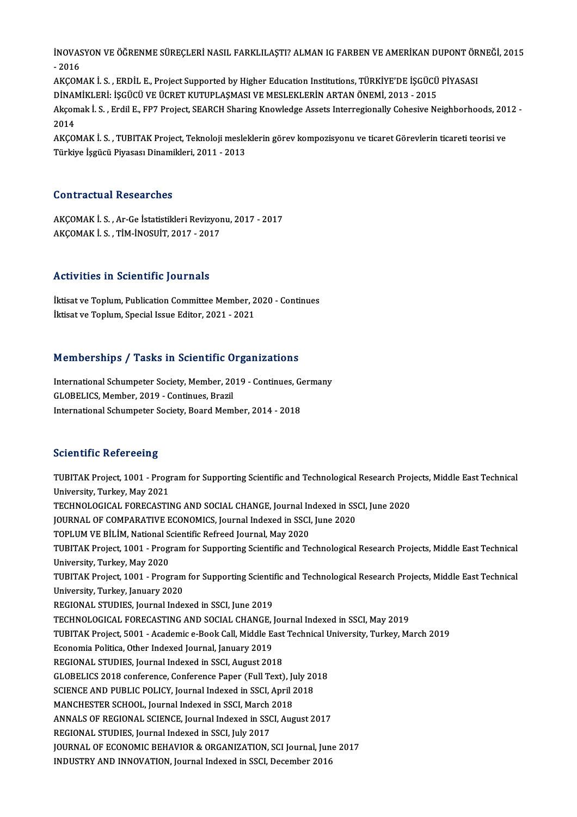İNOVASYON VE ÖĞRENME SÜREÇLERİ NASIL FARKLILAŞTI? ALMAN IG FARBEN VE AMERİKAN DUPONT ÖRNEĞİ, 2015<br>2016 **inovas**<br>- 2016<br>AKCOM İNOVASYON VE ÖĞRENME SÜREÇLERİ NASIL FARKLILAŞTI? ALMAN IG FARBEN VE AMERİKAN DUPONT ÖR<br>- 2016<br>AKÇOMAK İ. S. , ERDİL E., Project Supported by Higher Education Institutions, TÜRKİYE'DE İŞGÜCÜ PİYASASI<br>DİNAMİKLERİ, İSCÜCÜ VE - 2016<br>AKCOMAK İ. S. , ERDİL E., Project Supported by Higher Education Institutions, TÜRKİYE'DE İSGÜCÜ PİYASASI

AKÇOMAK İ. S. , ERDİL E., Project Supported by Higher Education Institutions, TÜRKİYE'DE İŞGÜCÜ PİYASASI<br>DİNAMİKLERİ: İŞGÜCÜ VE ÜCRET KUTUPLAŞMASI VE MESLEKLERİN ARTAN ÖNEMİ, 2013 - 2015<br>Akçomak İ. S. , Erdil E., FP7 Proje DİNAMİKLERİ: İŞGÜCÜ VE ÜCRET KUTUPLAŞMASI VE MESLEKLERİN ARTAN ÖNEMİ, 2013 - 2015<br>Akçomak İ. S. , Erdil E., FP7 Project, SEARCH Sharing Knowledge Assets Interregionally Cohesive N<br>2014

Akçomak İ. S. , Erdil E., FP7 Project, SEARCH Sharing Knowledge Assets Interregionally Cohesive Neighborhoods, 201<br>2014<br>AKÇOMAK İ. S. , TUBITAK Project, Teknoloji mesleklerin görev kompozisyonu ve ticaret Görevlerin ticare AKÇOMAK İ. S. , TUBITAK Project, Teknoloji mesleklerin görev kompozisyonu ve ticaret Görevlerin ticareti teorisi ve<br>Türkiye İşgücü Piyasası Dinamikleri, 2011 - 2013

### Contractual Researches

AKÇOMAKİS., Ar-Ge İstatistikleri Revizyonu, 2017 - 2017 AKÇOMAKİ.S. ,TİM-İNOSUİT,2017 -2017

# Activities in Scientific Journals

İktisat ve Toplum, Publication Committee Member, 2020 - Continues İktisat ve Toplum, Special Issue Editor, 2021 - 2021

# Memberships / Tasks in Scientific Organizations

Memberships / Tasks in Scientific Organizations<br>International Schumpeter Society, Member, 2019 - Continues, Germany<br>CLOBELICS Member 2019, Continues Pregil GLOBELICS, Member, 2019 - Continues, Brazil<br>GLOBELICS, Member, 2019 - Continues, Brazil<br>International Schumneter Society, Board Mem International Schumpeter Society, Member, 2019 - Continues, G<br>GLOBELICS, Member, 2019 - Continues, Brazil<br>International Schumpeter Society, Board Member, 2014 - 2018 International Schumpeter Society, Board Member, 2014 - 2018<br>Scientific Refereeing

Scientific Refereeing<br>TUBITAK Project, 1001 - Program for Supporting Scientific and Technological Research Projects, Middle East Technical<br>University, Turkey, May 2021 UNIVERSITY<br>TUBITAK Project, 1001 - Prog<br>University, Turkey, May 2021<br>TECHNOLOCICAL EORECASTII TUBITAK Project, 1001 - Program for Supporting Scientific and Technological Research Proj<br>University, Turkey, May 2021<br>TECHNOLOGICAL FORECASTING AND SOCIAL CHANGE, Journal Indexed in SSCI, June 2020<br>JOURNAL OF COMBARATIVE University, Turkey, May 2021<br>TECHNOLOGICAL FORECASTING AND SOCIAL CHANGE, Journal Indexed in SS<br>JOURNAL OF COMPARATIVE ECONOMICS, Journal Indexed in SSCI, June 2020<br>TORLUM VE PILIM National Scientific Petrood Journal May 2 TECHNOLOGICAL FORECASTING AND SOCIAL CHANGE, Journal In<br>JOURNAL OF COMPARATIVE ECONOMICS, Journal Indexed in SSCI<br>TOPLUM VE BİLİM, National Scientific Refreed Journal, May 2020<br>TUBITAK Preject, 1001 - Pregram for Suppertin JOURNAL OF COMPARATIVE ECONOMICS, Journal Indexed in SSCI, June 2020<br>TOPLUM VE BİLİM, National Scientific Refreed Journal, May 2020<br>TUBITAK Project, 1001 - Program for Supporting Scientific and Technological Research Proje TOPLUM VE BİLİM, National S<br>TUBITAK Project, 1001 - Prog<br>University, Turkey, May 2020<br>TUBITAK Project, 1001 - Prog TUBITAK Project, 1001 - Program for Supporting Scientific and Technological Research Projects, Middle East Technical<br>University, Turkey, May 2020<br>TUBITAK Project, 1001 - Program for Supporting Scientific and Technological University, Turkey, May 2020<br>TUBITAK Project, 1001 - Program<br>University, Turkey, January 2020<br>BECIONAL STUDIES Journal Indo TUBITAK Project, 1001 - Program for Supporting Scienti<br>University, Turkey, January 2020<br>REGIONAL STUDIES, Journal Indexed in SSCI, June 2019<br>TECHNOLOCICAL EORECASTING AND SOCIAL CHANGE I University, Turkey, January 2020<br>REGIONAL STUDIES, Journal Indexed in SSCI, June 2019<br>TECHNOLOGICAL FORECASTING AND SOCIAL CHANGE, Journal Indexed in SSCI, May 2019<br>TURITAK Preject, 5001 . Acedemia e Book Cell, Middle Fest REGIONAL STUDIES, Journal Indexed in SSCI, June 2019<br>TECHNOLOGICAL FORECASTING AND SOCIAL CHANGE, Journal Indexed in SSCI, May 2019<br>TUBITAK Project, 5001 - Academic e-Book Call, Middle East Technical University, Turkey, Ma TECHNOLOGICAL FORECASTING AND SOCIAL CHANGE, J<br>TUBITAK Project, 5001 - Academic e-Book Call, Middle Ea<br>Economia Politica, Other Indexed Journal, January 2019<br>RECIONAL STUDIES Journal Indexed in SSCL August 201 TUBITAK Project, 5001 - Academic e-Book Call, Middle East<br>Economia Politica, Other Indexed Journal, January 2019<br>REGIONAL STUDIES, Journal Indexed in SSCI, August 2018<br>CLOBELICS 2018 conforence Conforence Paper (Eull Text) Economia Politica, Other Indexed Journal, January 2019<br>REGIONAL STUDIES, Journal Indexed in SSCI, August 2018<br>GLOBELICS 2018 conference, Conference Paper (Full Text), July 2018<br>SCIENCE AND PUBLIC POLICY, Journal Indexed in REGIONAL STUDIES, Journal Indexed in SSCI, August 2018<br>GLOBELICS 2018 conference, Conference Paper (Full Text), July 20<br>SCIENCE AND PUBLIC POLICY, Journal Indexed in SSCI, April 2018<br>MANGUESTER SCUON, Journal Indexed in SS GLOBELICS 2018 conference, Conference Paper (Full Text), Ju<br>SCIENCE AND PUBLIC POLICY, Journal Indexed in SSCI, April 2<br>MANCHESTER SCHOOL, Journal Indexed in SSCI, March 2018<br>ANNALS OF RECIONAL SCIENCE, Journal Indexed in SCIENCE AND PUBLIC POLICY, Journal Indexed in SSCI, April 2018<br>MANCHESTER SCHOOL, Journal Indexed in SSCI, March 2018<br>ANNALS OF REGIONAL SCIENCE, Journal Indexed in SSCI, August 2017<br>REGIONAL STUDIES, Journal Indexed in SS MANCHESTER SCHOOL, Journal Indexed in SSCI, March 2018 ANNALS OF REGIONAL SCIENCE, Journal Indexed in SSCI, August 2017<br>REGIONAL STUDIES, Journal Indexed in SSCI, July 2017<br>JOURNAL OF ECONOMIC BEHAVIOR & ORGANIZATION, SCI Journal, June 2017<br>INDUSTRY AND INNOVATION Journal Inde REGIONAL STUDIES, Journal Indexed in SSCI, July 2017<br>JOURNAL OF ECONOMIC BEHAVIOR & ORGANIZATION, SCI Journal, Jun<br>INDUSTRY AND INNOVATION, Journal Indexed in SSCI, December 2016